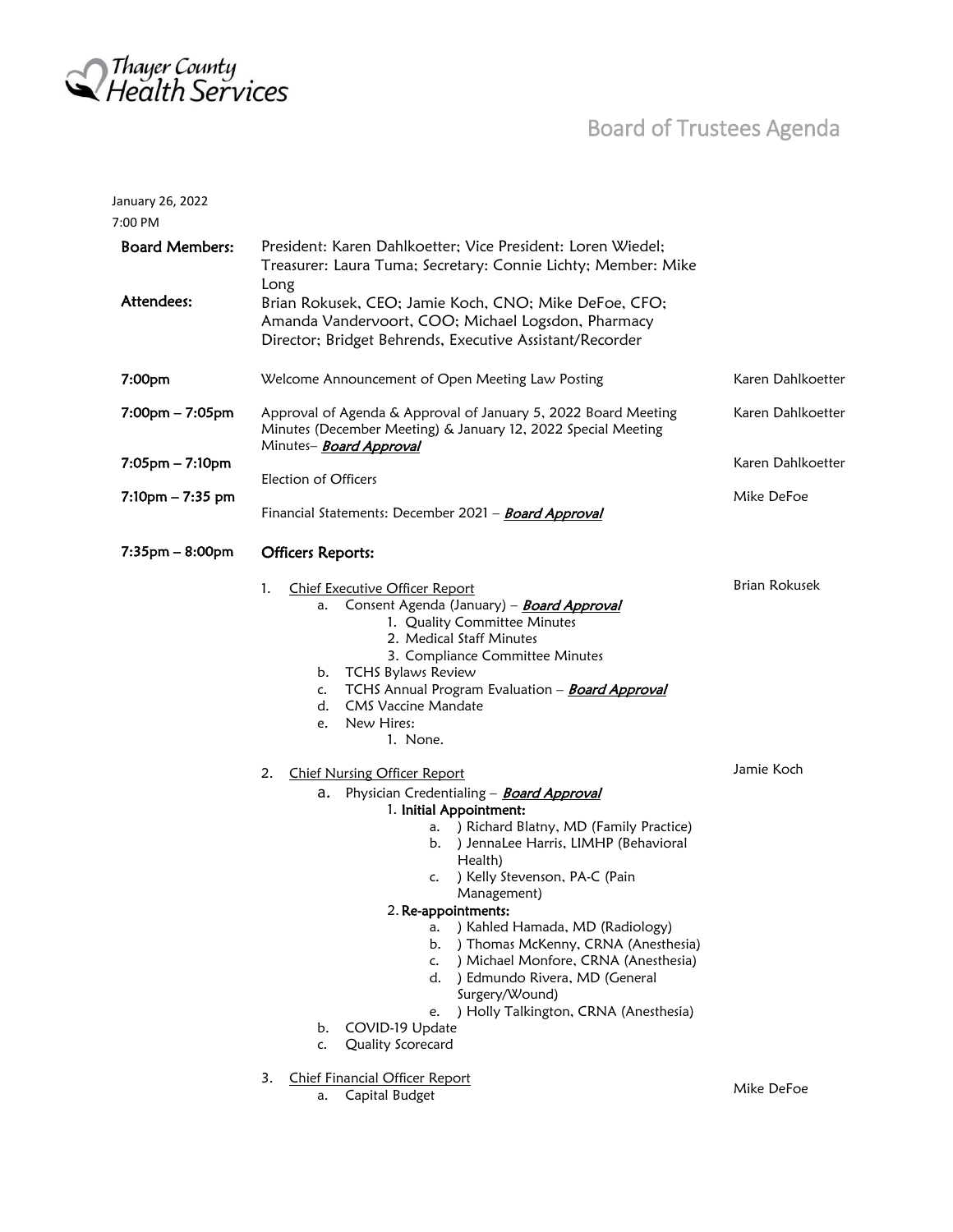

January 26, 2022

## Board of Trustees Agenda

| 7:00 PM                             |                                                                                                                                                                                                                                                                                                                                                                                                                                                                                                                                                                                                                  |                      |
|-------------------------------------|------------------------------------------------------------------------------------------------------------------------------------------------------------------------------------------------------------------------------------------------------------------------------------------------------------------------------------------------------------------------------------------------------------------------------------------------------------------------------------------------------------------------------------------------------------------------------------------------------------------|----------------------|
| <b>Board Members:</b><br>Attendees: | President: Karen Dahlkoetter; Vice President: Loren Wiedel;<br>Treasurer: Laura Tuma; Secretary: Connie Lichty; Member: Mike<br>Long<br>Brian Rokusek, CEO; Jamie Koch, CNO; Mike DeFoe, CFO;                                                                                                                                                                                                                                                                                                                                                                                                                    |                      |
|                                     | Amanda Vandervoort, COO; Michael Logsdon, Pharmacy<br>Director; Bridget Behrends, Executive Assistant/Recorder                                                                                                                                                                                                                                                                                                                                                                                                                                                                                                   |                      |
| 7:00 <sub>pm</sub>                  | Welcome Announcement of Open Meeting Law Posting                                                                                                                                                                                                                                                                                                                                                                                                                                                                                                                                                                 | Karen Dahlkoetter    |
| $7:00$ pm $-7:05$ pm                | Approval of Agenda & Approval of January 5, 2022 Board Meeting<br>Minutes (December Meeting) & January 12, 2022 Special Meeting<br>Minutes- <b>Board Approval</b>                                                                                                                                                                                                                                                                                                                                                                                                                                                | Karen Dahlkoetter    |
| $7:05$ pm – $7:10$ pm               |                                                                                                                                                                                                                                                                                                                                                                                                                                                                                                                                                                                                                  | Karen Dahlkoetter    |
| $7:10$ pm $-7:35$ pm                | Election of Officers<br>Financial Statements: December 2021 - <b>Board Approval</b>                                                                                                                                                                                                                                                                                                                                                                                                                                                                                                                              | Mike DeFoe           |
| $7:35$ pm – 8:00pm                  | <b>Officers Reports:</b>                                                                                                                                                                                                                                                                                                                                                                                                                                                                                                                                                                                         |                      |
|                                     | 1.<br>Chief Executive Officer Report<br>Consent Agenda (January) - <b>Board Approval</b><br>a.<br>1. Quality Committee Minutes<br>2. Medical Staff Minutes<br>3. Compliance Committee Minutes<br>b. TCHS Bylaws Review<br>TCHS Annual Program Evaluation - <b>Board Approval</b><br>c.<br><b>CMS Vaccine Mandate</b><br>d.<br>New Hires:<br>e.<br>1. None.                                                                                                                                                                                                                                                       | <b>Brian Rokusek</b> |
|                                     | 2.<br><b>Chief Nursing Officer Report</b><br>Physician Credentialing - <b>Board Approval</b><br>a.<br>1. Initial Appointment:<br>) Richard Blatny, MD (Family Practice)<br>a.<br>b. ) JennaLee Harris, LIMHP (Behavioral<br>Health)<br>) Kelly Stevenson, PA-C (Pain<br>c.<br>Management)<br>2. Re-appointments:<br>) Kahled Hamada, MD (Radiology)<br>a.<br>) Thomas McKenny, CRNA (Anesthesia)<br>b.<br>) Michael Monfore, CRNA (Anesthesia)<br>c.<br>) Edmundo Rivera, MD (General<br>d.<br>Surgery/Wound)<br>) Holly Talkington, CRNA (Anesthesia)<br>e.<br>COVID-19 Update<br>b.<br>Quality Scorecard<br>c. | Jamie Koch           |
|                                     | <b>Chief Financial Officer Report</b><br>3.<br>Capital Budget<br>a.                                                                                                                                                                                                                                                                                                                                                                                                                                                                                                                                              | Mike DeFoe           |